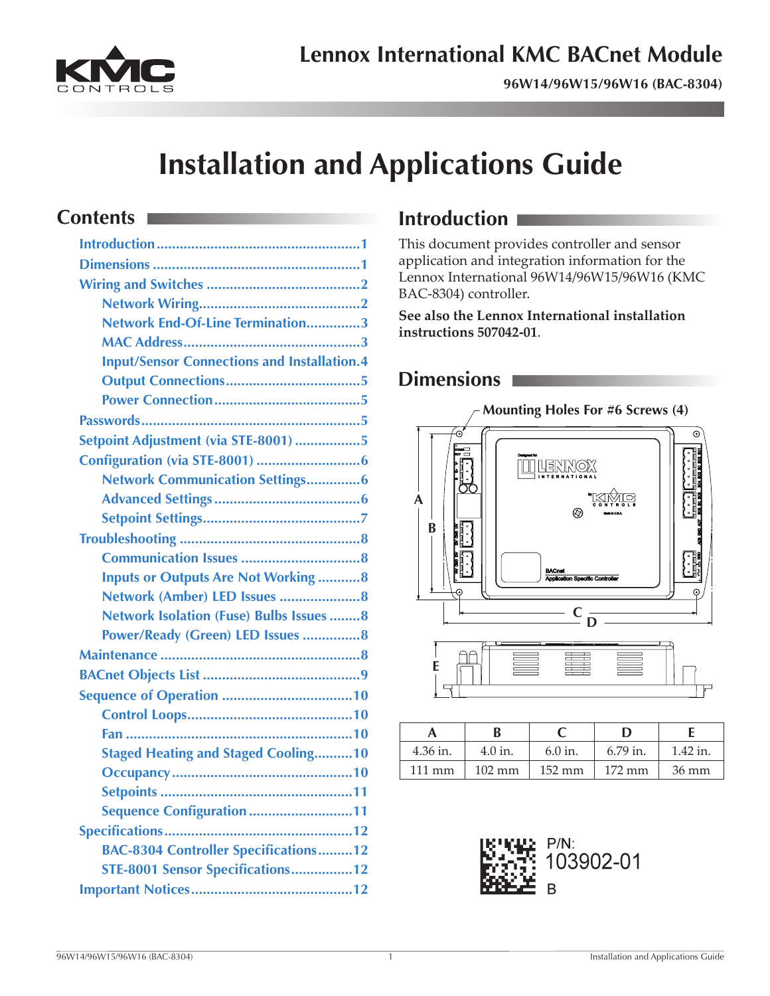

**96W14/96W15/96W16 (BAC-8304)**

# **Installation and Applications Guide**

# **Contents**

| Network End-Of-Line Termination3                   |
|----------------------------------------------------|
|                                                    |
| <b>Input/Sensor Connections and Installation.4</b> |
|                                                    |
|                                                    |
|                                                    |
| Setpoint Adjustment (via STE-8001) 5               |
|                                                    |
| Network Communication Settings6                    |
|                                                    |
|                                                    |
|                                                    |
|                                                    |
| <b>Inputs or Outputs Are Not Working 8</b>         |
|                                                    |
| Network Isolation (Fuse) Bulbs Issues 8            |
| Power/Ready (Green) LED Issues 8                   |
|                                                    |
|                                                    |
|                                                    |
|                                                    |
|                                                    |
| <b>Staged Heating and Staged Cooling10</b>         |
|                                                    |
|                                                    |
| Sequence Configuration 11                          |
|                                                    |
| <b>BAC-8304 Controller Specifications12</b>        |
| STE-8001 Sensor Specifications12                   |
|                                                    |

# **Introduction**

This document provides controller and sensor application and integration information for the Lennox International 96W14/96W15/96W16 (KMC BAC-8304) controller.

**See also the Lennox International installation instructions 507042-01**.

# **Dimensions**



|                  |                  |                  | נו               |                 |
|------------------|------------------|------------------|------------------|-----------------|
| 4.36 in.         | 4.0 in.          | $6.0$ in.        | $6.79$ in.       | $1.42$ in.      |
| $111 \text{ mm}$ | $102 \text{ mm}$ | $152 \text{ mm}$ | $172 \text{ mm}$ | $36 \text{ mm}$ |

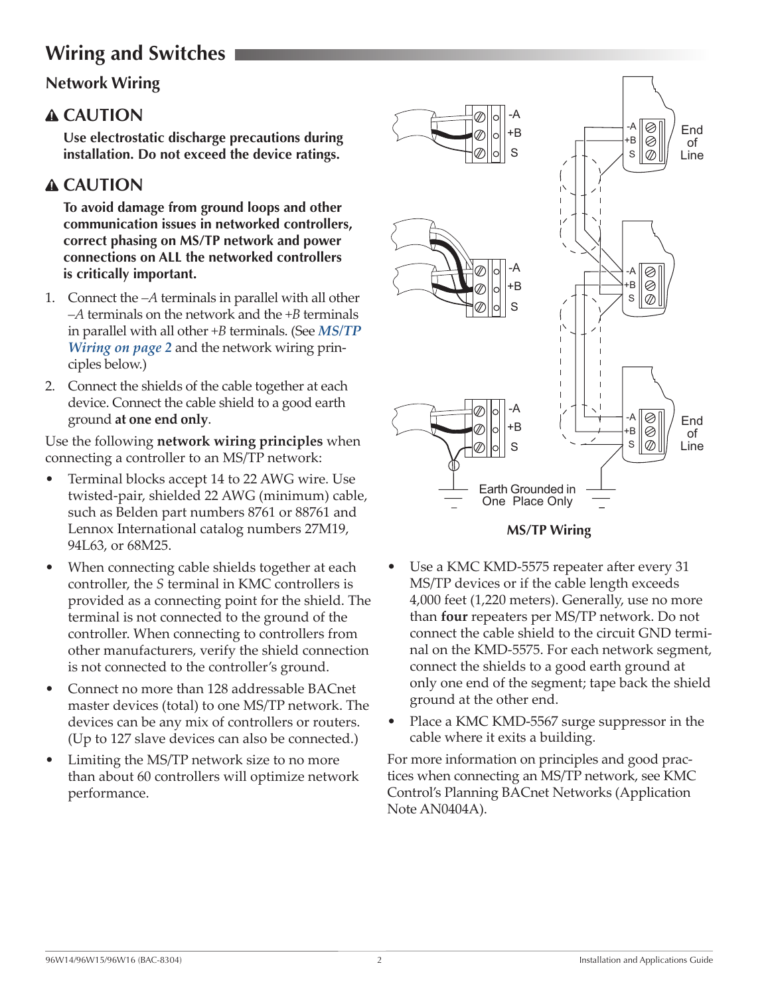# <span id="page-1-0"></span>**Wiring and Switches**

### **Network Wiring**

### **CAUTION**

**Use electrostatic discharge precautions during installation. Do not exceed the device ratings.**

# **CAUTION**

**To avoid damage from ground loops and other communication issues in networked controllers, correct phasing on MS/TP network and power connections on ALL the networked controllers is critically important.**

- 1. Connect the *–A* terminals in parallel with all other *–A* terminals on the network and the *+B* terminals in parallel with all other *+B* terminals. (See *[MS/TP](#page-1-1)  [Wiring on page 2](#page-1-1)* and the network wiring principles below.)
- 2. Connect the shields of the cable together at each device. Connect the cable shield to a good earth ground **at one end only**.

Use the following **network wiring principles** when connecting a controller to an MS/TP network:

- Terminal blocks accept 14 to 22 AWG wire. Use twisted-pair, shielded 22 AWG (minimum) cable, such as Belden part numbers 8761 or 88761 and Lennox International catalog numbers 27M19, 94L63, or 68M25.
- When connecting cable shields together at each controller, the *S* terminal in KMC controllers is provided as a connecting point for the shield. The terminal is not connected to the ground of the controller. When connecting to controllers from other manufacturers, verify the shield connection is not connected to the controller's ground.
- Connect no more than 128 addressable BACnet master devices (total) to one MS/TP network. The devices can be any mix of controllers or routers. (Up to 127 slave devices can also be connected.)
- Limiting the MS/TP network size to no more than about 60 controllers will optimize network performance.



#### <span id="page-1-1"></span>**MS/TP Wiring**

- Use a KMC KMD-5575 repeater after every 31 MS/TP devices or if the cable length exceeds 4,000 feet (1,220 meters). Generally, use no more than **four** repeaters per MS/TP network. Do not connect the cable shield to the circuit GND terminal on the KMD-5575. For each network segment, connect the shields to a good earth ground at only one end of the segment; tape back the shield ground at the other end.
- Place a KMC KMD-5567 surge suppressor in the cable where it exits a building.

For more information on principles and good practices when connecting an MS/TP network, see KMC Control's Planning BACnet Networks (Application Note AN0404A).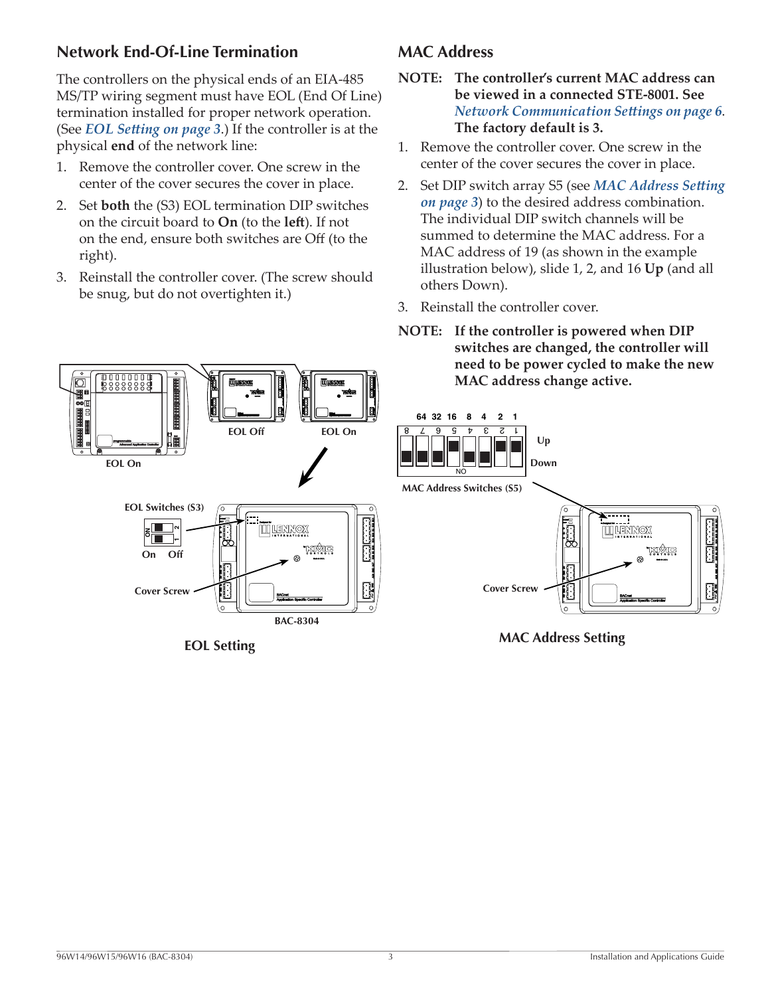### <span id="page-2-0"></span>**Network End-Of-Line Termination**

The controllers on the physical ends of an EIA-485 MS/TP wiring segment must have EOL (End Of Line) termination installed for proper network operation. (See *[EOL Setting on page 3](#page-2-2)*.) If the controller is at the physical **end** of the network line:

- 1. Remove the controller cover. One screw in the center of the cover secures the cover in place.
- 2. Set **both** the (S3) EOL termination DIP switches on the circuit board to **On** (to the **left**). If not on the end, ensure both switches are Off (to the right).
- 3. Reinstall the controller cover. (The screw should be snug, but do not overtighten it.)

**EOL Off**

**EOL Setting**

ি

뿨

# <span id="page-2-3"></span>**MAC Address**

- **NOTE: The controller's current MAC address can be viewed in a connected STE-8001. See**  *[Network Communication Settings on page 6](#page-5-1)*. **The factory default is 3.**
- 1. Remove the controller cover. One screw in the center of the cover secures the cover in place.
- 2. Set DIP switch array S5 (see *[MAC Address Setting](#page-2-1)  [on page 3](#page-2-1)*) to the desired address combination. The individual DIP switch channels will be summed to determine the MAC address. For a MAC address of 19 (as shown in the example illustration below), slide 1, 2, and 16 **Up** (and all others Down).
- 3. Reinstall the controller cover.
- **NOTE: If the controller is powered when DIP switches are changed, the controller will need to be power cycled to make the new MAC address change active.**



<span id="page-2-1"></span>**MAC Address Setting**

**On Off**

**ON**

**EOL Switches (S3)**

**EOL On**

8888888

न

**Cover Screw**

<span id="page-2-2"></span>**BAC-8304**

<u>kiyisi</u>

**TT LENNOX**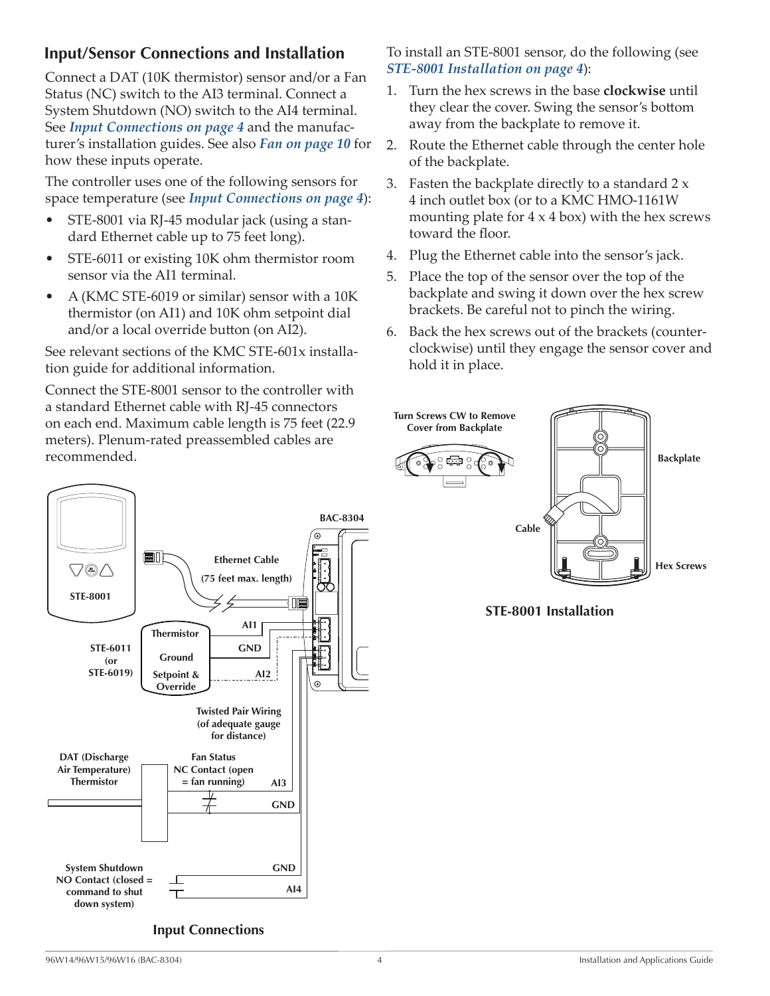### <span id="page-3-0"></span>**Input/Sensor Connections and Installation**

Connect a DAT (10K thermistor) sensor and/or a Fan Status (NC) switch to the AI3 terminal. Connect a System Shutdown (NO) switch to the AI4 terminal. See *[Input Connections on page 4](#page-3-1)* and the manufacturer's installation guides. See also *[Fan on page 10](#page-9-1)* for how these inputs operate.

The controller uses one of the following sensors for space temperature (see *[Input Connections on page 4](#page-3-1)*):

- STE-8001 via RJ-45 modular jack (using a standard Ethernet cable up to 75 feet long).
- STE-6011 or existing 10K ohm thermistor room sensor via the AI1 terminal.
- A (KMC STE-6019 or similar) sensor with a 10K thermistor (on AI1) and 10K ohm setpoint dial and/or a local override button (on AI2).

See relevant sections of the KMC STE-601x installation guide for additional information.

Connect the STE-8001 sensor to the controller with a standard Ethernet cable with RJ-45 connectors on each end. Maximum cable length is 75 feet (22.9 meters). Plenum-rated preassembled cables are recommended.



To install an STE-8001 sensor, do the following (see *[STE-8001 Installation on page 4](#page-3-2)*):

- 1. Turn the hex screws in the base **clockwise** until they clear the cover. Swing the sensor's bottom away from the backplate to remove it.
- 2. Route the Ethernet cable through the center hole of the backplate.
- 3. Fasten the backplate directly to a standard  $2x$ 4 inch outlet box (or to a KMC HMO-1161W mounting plate for  $4 \times 4$  box) with the hex screws toward the floor.
- 4. Plug the Ethernet cable into the sensor's jack.
- 5. Place the top of the sensor over the top of the backplate and swing it down over the hex screw brackets. Be careful not to pinch the wiring.
- 6. Back the hex screws out of the brackets (counterclockwise) until they engage the sensor cover and hold it in place.



<span id="page-3-2"></span>**STE-8001 Installation**

<span id="page-3-1"></span>**Input Connections**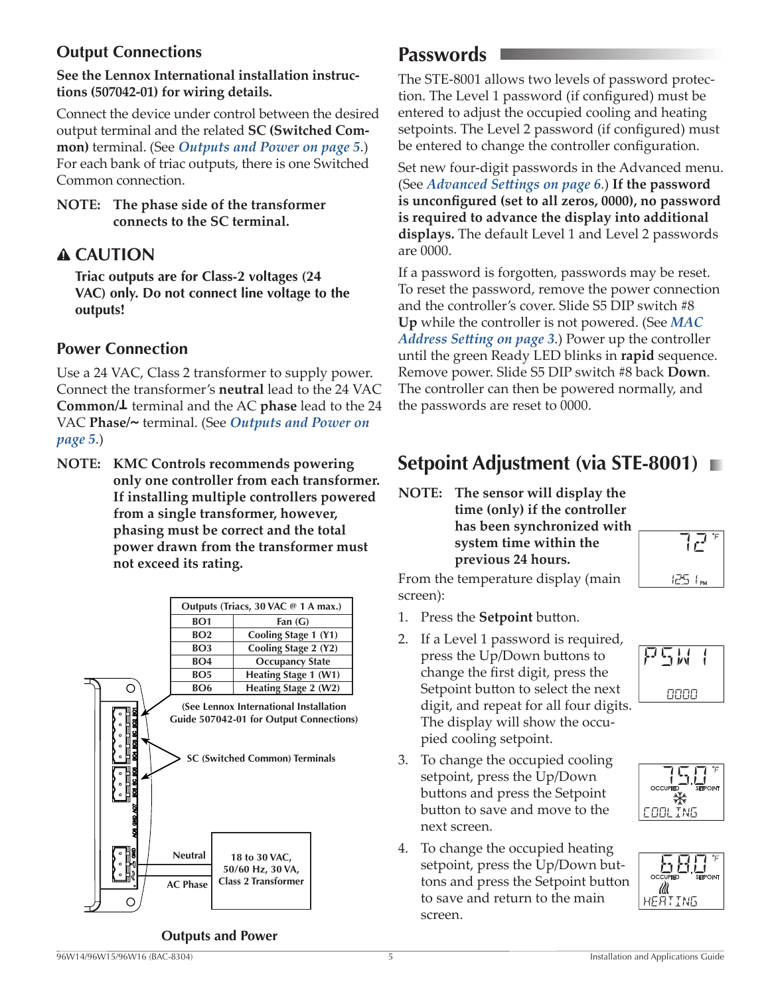### <span id="page-4-0"></span>**Output Connections**

#### **See the Lennox International installation instructions (507042-01) for wiring details.**

Connect the device under control between the desired output terminal and the related **SC (Switched Common)** terminal. (See *[Outputs and Power on page 5](#page-4-1)*.) For each bank of triac outputs, there is one Switched Common connection.

#### **NOTE: The phase side of the transformer connects to the SC terminal.**

## **CAUTION**

**Triac outputs are for Class-2 voltages (24 VAC) only. Do not connect line voltage to the outputs!**

#### **Power Connection**

Use a 24 VAC, Class 2 transformer to supply power. Connect the transformer's **neutral** lead to the 24 VAC **Common/<sup>T</sup>** terminal and the AC **phase** lead to the 24 VAC **Phase/~** terminal. (See *[Outputs and Power on](#page-4-1)  [page 5](#page-4-1)*.)

**NOTE: KMC Controls recommends powering only one controller from each transformer. If installing multiple controllers powered from a single transformer, however, phasing must be correct and the total power drawn from the transformer must not exceed its rating.**



#### <span id="page-4-1"></span>**Outputs and Power**

# **Passwords**

The STE-8001 allows two levels of password protection. The Level 1 password (if configured) must be entered to adjust the occupied cooling and heating setpoints. The Level 2 password (if configured) must be entered to change the controller configuration.

Set new four-digit passwords in the Advanced menu. (See *[Advanced Settings on page 6](#page-5-2)*.) **If the password is unconfigured (set to all zeros, 0000), no password is required to advance the display into additional displays.** The default Level 1 and Level 2 passwords are 0000.

If a password is forgotten, passwords may be reset. To reset the password, remove the power connection and the controller's cover. Slide S5 DIP switch #8 **Up** while the controller is not powered. (See *[MAC](#page-2-1)  [Address Setting on page 3](#page-2-1)*.) Power up the controller until the green Ready LED blinks in **rapid** sequence. Remove power. Slide S5 DIP switch #8 back **Down**. The controller can then be powered normally, and the passwords are reset to 0000.

# **Setpoint Adjustment (via STE-8001)**

#### **NOTE: The sensor will display the time (only) if the controller has been synchronized with system time within the previous 24 hours.**



From the temperature display (main screen):

- 1. Press the **Setpoint** button.
- 2. If a Level 1 password is required, press the Up/Down buttons to change the first digit, press the Setpoint button to select the next digit, and repeat for all four digits. The display will show the occupied cooling setpoint.
- 3. To change the occupied cooling setpoint, press the Up/Down buttons and press the Setpoint button to save and move to the next screen.
- 4. To change the occupied heating setpoint, press the Up/Down buttons and press the Setpoint button to save and return to the main screen.





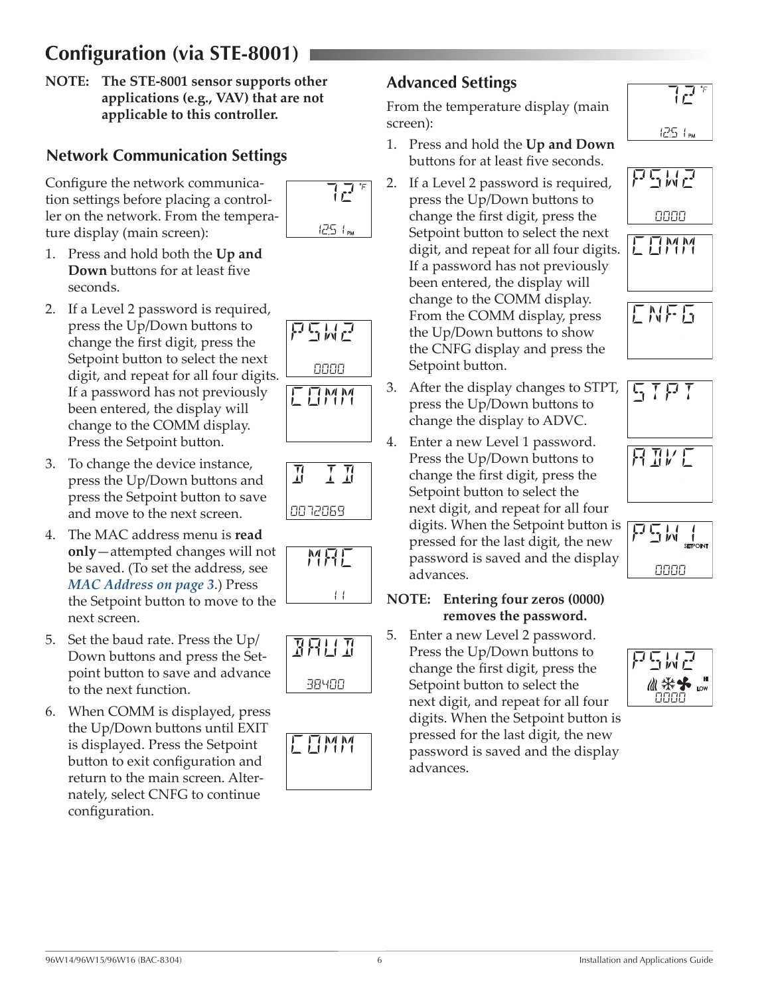# <span id="page-5-0"></span>**Configuration (via STE-8001)**

**NOTE: The STE-8001 sensor supports other applications (e.g., VAV) that are not applicable to this controller.**

### <span id="page-5-1"></span>**Network Communication Settings**

Configure the network communication settings before placing a controller on the network. From the temperature display (main screen):



- 1. Press and hold both the **Up and Down** buttons for at least five seconds.
- 2. If a Level 2 password is required, press the Up/Down buttons to change the first digit, press the Setpoint button to select the next digit, and repeat for all four digits. If a password has not previously been entered, the display will change to the COMM display. Press the Setpoint button.
- 3. To change the device instance, press the Up/Down buttons and press the Setpoint button to save and move to the next screen.
- 4. The MAC address menu is **read only**—attempted changes will not be saved. (To set the address, see *[MAC Address on page 3](#page-2-3)*.) Press the Setpoint button to move to the next screen.
- 5. Set the baud rate. Press the Up/ Down buttons and press the Setpoint button to save and advance to the next function.
- 6. When COMM is displayed, press the Up/Down buttons until EXIT is displayed. Press the Setpoint button to exit configuration and return to the main screen. Alternately, select CNFG to continue configuration.









**EEMM** 

# <span id="page-5-2"></span>**Advanced Settings**

From the temperature display (main screen):

- 1. Press and hold the **Up and Down** buttons for at least five seconds.
- 2. If a Level 2 password is required, press the Up/Down buttons to change the first digit, press the Setpoint button to select the next digit, and repeat for all four digits. If a password has not previously been entered, the display will change to the COMM display. From the COMM display, press the Up/Down buttons to show the CNFG display and press the Setpoint button.
- 3. After the display changes to STPT, press the Up/Down buttons to change the display to ADVC.
- 4. Enter a new Level 1 password. Press the Up/Down buttons to change the first digit, press the Setpoint button to select the next digit, and repeat for all four digits. When the Setpoint button is pressed for the last digit, the new password is saved and the display advances.

#### **NOTE: Entering four zeros (0000) removes the password.**

5. Enter a new Level 2 password. Press the Up/Down buttons to change the first digit, press the Setpoint button to select the next digit, and repeat for all four digits. When the Setpoint button is pressed for the last digit, the new password is saved and the display advances.









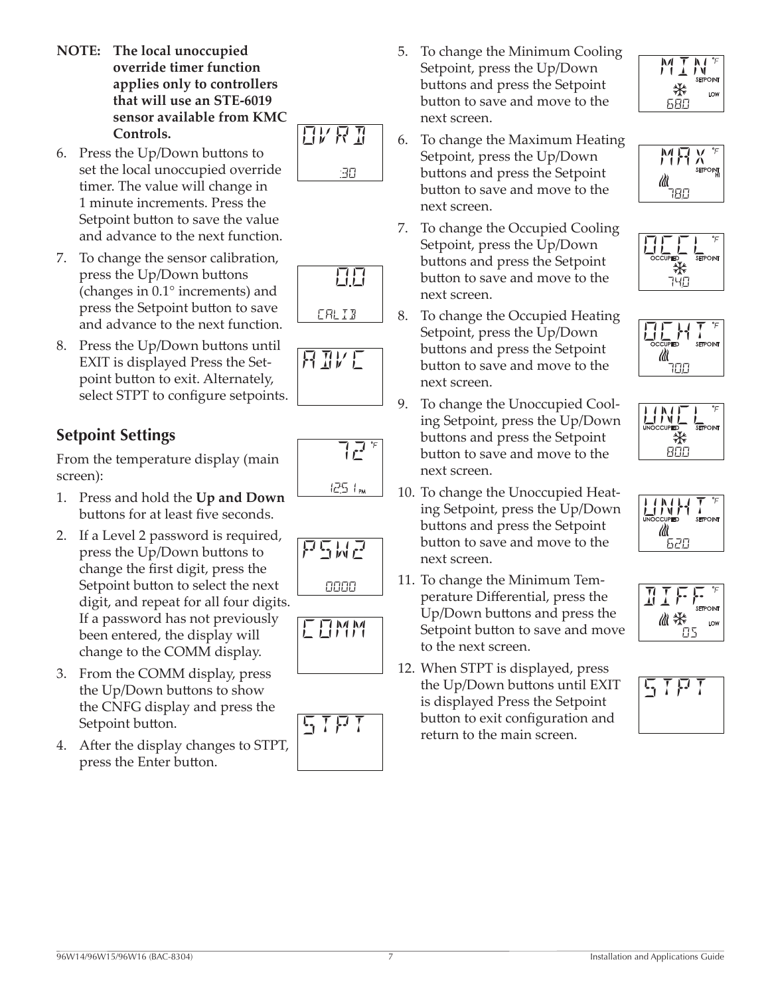- <span id="page-6-0"></span>**NOTE: The local unoccupied override timer function applies only to controllers that will use an STE-6019 sensor available from KMC Controls.**
- 6. Press the Up/Down buttons to set the local unoccupied override timer. The value will change in 1 minute increments. Press the Setpoint button to save the value and advance to the next function.
- 7. To change the sensor calibration, press the Up/Down buttons (changes in 0.1° increments) and press the Setpoint button to save and advance to the next function.
- 8. Press the Up/Down buttons until EXIT is displayed Press the Setpoint button to exit. Alternately, select STPT to configure setpoints.

# **Setpoint Settings**

From the temperature display (main screen):

- 1. Press and hold the **Up and Down** buttons for at least five seconds.
- 2. If a Level 2 password is required, press the Up/Down buttons to change the first digit, press the Setpoint button to select the next digit, and repeat for all four digits. If a password has not previously been entered, the display will change to the COMM display.
- 3. From the COMM display, press the Up/Down buttons to show the CNFG display and press the Setpoint button.
- 4. After the display changes to STPT, press the Enter button.
- 5. To change the Minimum Cooling Setpoint, press the Up/Down buttons and press the Setpoint button to save and move to the next screen.
- 6. To change the Maximum Heating Setpoint, press the Up/Down buttons and press the Setpoint button to save and move to the next screen.
- 7. To change the Occupied Cooling Setpoint, press the Up/Down buttons and press the Setpoint button to save and move to the next screen.
- 8. To change the Occupied Heating Setpoint, press the Up/Down buttons and press the Setpoint button to save and move to the next screen.
- 9. To change the Unoccupied Cooling Setpoint, press the Up/Down buttons and press the Setpoint button to save and move to the next screen.
- 10. To change the Unoccupied Heating Setpoint, press the Up/Down buttons and press the Setpoint button to save and move to the next screen.
- 11. To change the Minimum Temperature Differential, press the Up/Down buttons and press the Setpoint button to save and move to the next screen.
- 12. When STPT is displayed, press the Up/Down buttons until EXIT is displayed Press the Setpoint button to exit configuration and return to the main screen.



 $M \Gamma_{\text{N}}$ 

680

₩























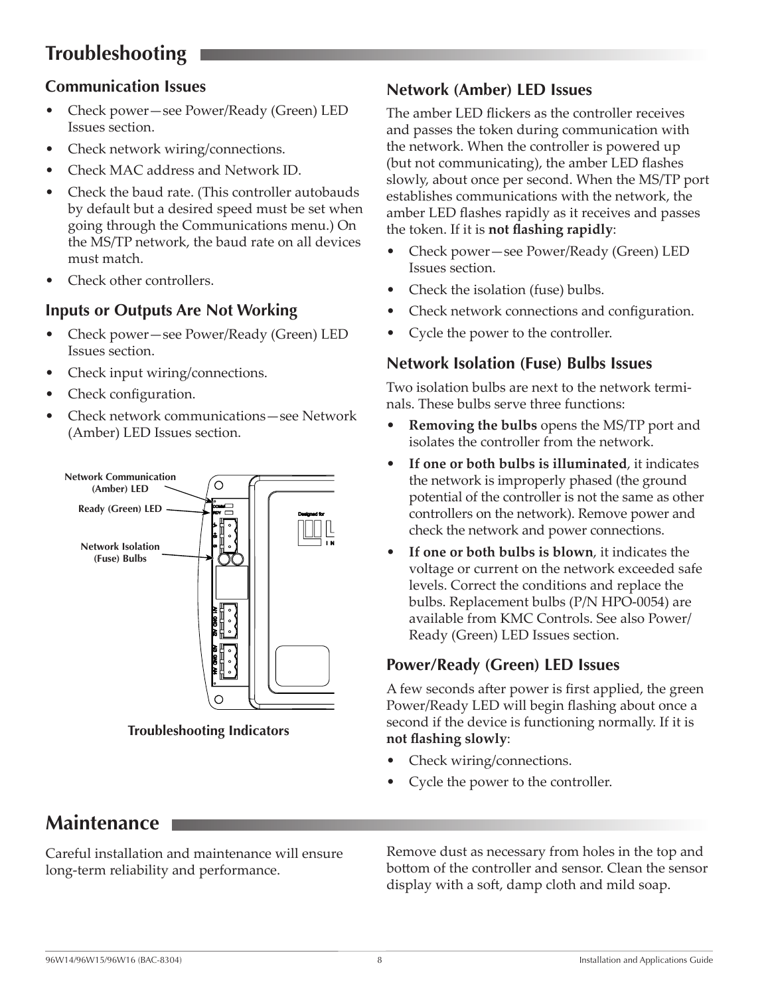# <span id="page-7-0"></span>**Troubleshooting**

#### **Communication Issues**

- Check power—see Power/Ready (Green) LED Issues section.
- Check network wiring/connections.
- Check MAC address and Network ID.
- Check the baud rate. (This controller autobauds by default but a desired speed must be set when going through the Communications menu.) On the MS/TP network, the baud rate on all devices must match.
- Check other controllers.

#### **Inputs or Outputs Are Not Working**

- Check power—see Power/Ready (Green) LED Issues section.
- Check input wiring/connections.
- Check configuration.
- Check network communications—see Network (Amber) LED Issues section.



**Troubleshooting Indicators**

#### **Network (Amber) LED Issues**

The amber LED flickers as the controller receives and passes the token during communication with the network. When the controller is powered up (but not communicating), the amber LED flashes slowly, about once per second. When the MS/TP port establishes communications with the network, the amber LED flashes rapidly as it receives and passes the token. If it is **not flashing rapidly**:

- Check power—see Power/Ready (Green) LED Issues section.
- Check the isolation (fuse) bulbs.
- Check network connections and configuration.
- Cycle the power to the controller.

#### **Network Isolation (Fuse) Bulbs Issues**

Two isolation bulbs are next to the network terminals. These bulbs serve three functions:

- **Removing the bulbs** opens the MS/TP port and isolates the controller from the network.
- **If one or both bulbs is illuminated**, it indicates the network is improperly phased (the ground potential of the controller is not the same as other controllers on the network). Remove power and check the network and power connections.
- If one or both bulbs is blown, it indicates the voltage or current on the network exceeded safe levels. Correct the conditions and replace the bulbs. Replacement bulbs (P/N HPO-0054) are available from KMC Controls. See also Power/ Ready (Green) LED Issues section.

#### **Power/Ready (Green) LED Issues**

A few seconds after power is first applied, the green Power/Ready LED will begin flashing about once a second if the device is functioning normally. If it is **not flashing slowly**:

- Check wiring/connections.
- Cycle the power to the controller.

# **Maintenance**

Careful installation and maintenance will ensure long-term reliability and performance.

Remove dust as necessary from holes in the top and bottom of the controller and sensor. Clean the sensor display with a soft, damp cloth and mild soap.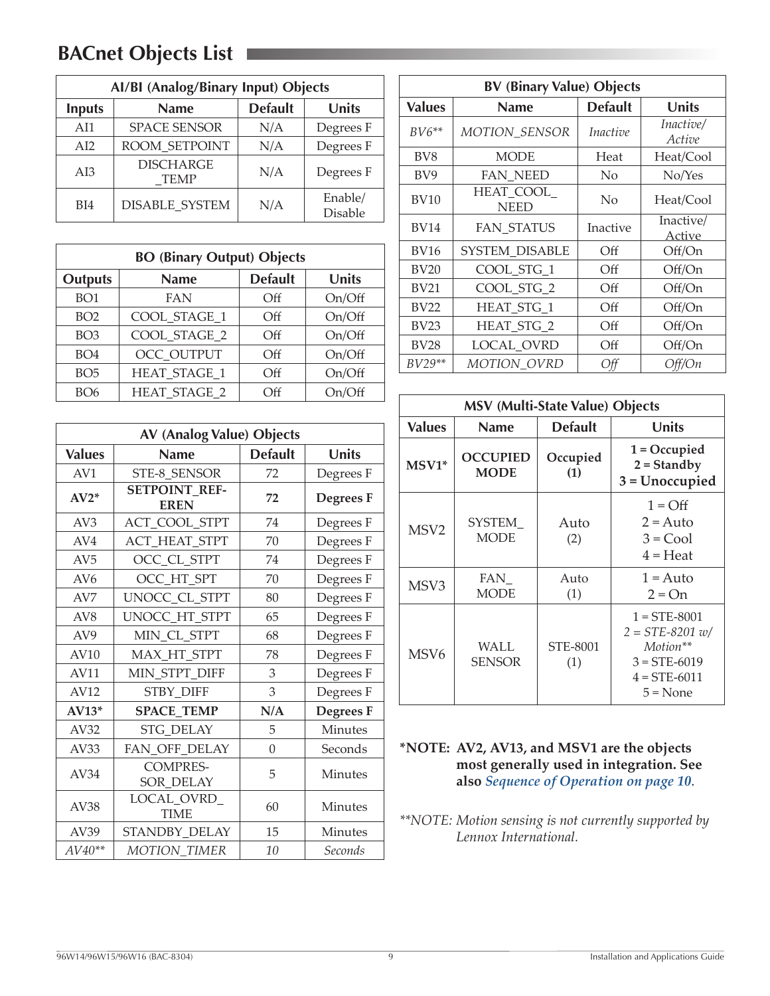# <span id="page-8-1"></span><span id="page-8-0"></span>**BACnet Objects List**

| Al/BI (Analog/Binary Input) Objects |                          |                |                    |
|-------------------------------------|--------------------------|----------------|--------------------|
| <b>Inputs</b>                       | <b>Name</b>              | <b>Default</b> | <b>Units</b>       |
| AI1                                 | <b>SPACE SENSOR</b>      | N/A            | Degrees F          |
| AI2                                 | ROOM SETPOINT            | N/A            | Degrees F          |
| AI3                                 | <b>DISCHARGE</b><br>TEMP | N/A            | Degrees F          |
| BI4                                 | <b>DISABLE SYSTEM</b>    | N/A            | Enable/<br>Disable |

| <b>BO (Binary Output) Objects</b> |                     |                |              |
|-----------------------------------|---------------------|----------------|--------------|
| <b>Outputs</b>                    | <b>Name</b>         | <b>Default</b> | <b>Units</b> |
| BO <sub>1</sub>                   | <b>FAN</b>          | $\Omega$       | On/Off       |
| BO2                               | COOL_STAGE_1        | Off            | On/Off       |
| BO <sub>3</sub>                   | COOL STAGE 2        | Off            | On/Off       |
| BO4                               | OCC OUTPUT          | Off            | On/Off       |
| BO <sub>5</sub>                   | <b>HEAT STAGE 1</b> | Off            | On/Off       |
| BO <sub>6</sub>                   | <b>HEAT STAGE 2</b> | Off            | On/Off       |

| <b>AV (Analog Value) Objects</b> |                                     |                |                  |
|----------------------------------|-------------------------------------|----------------|------------------|
| <b>Values</b>                    | <b>Name</b>                         | <b>Default</b> | <b>Units</b>     |
| AV1                              | STE-8 SENSOR                        | 72             | Degrees F        |
| $AV2*$                           | <b>SETPOINT REF-</b><br><b>EREN</b> | 72             | Degrees F        |
| AV3                              | ACT_COOL_STPT                       | 74             | Degrees F        |
| AV4                              | ACT_HEAT_STPT                       | 70             | Degrees F        |
| AV <sub>5</sub>                  | OCC_CL_STPT                         | 74             | Degrees F        |
| AV <sub>6</sub>                  | OCC HT SPT                          | 70             | Degrees F        |
| AV <sub>7</sub>                  | UNOCC_CL_STPT                       | 80             | Degrees F        |
| AV <sub>8</sub>                  | UNOCC_HT_STPT                       | 65             | Degrees F        |
| AV <sub>9</sub>                  | MIN_CL_STPT                         | 68             | Degrees F        |
| AV10                             | MAX_HT_STPT                         | 78             | Degrees F        |
| AV11                             | MIN_STPT_DIFF                       | 3              | Degrees F        |
| AV12                             | <b>STBY DIFF</b><br>3               |                | Degrees F        |
| $AV13*$                          | <b>SPACE_TEMP</b>                   | N/A            | <b>Degrees</b> F |
| AV32                             | <b>STG DELAY</b>                    | 5              | Minutes          |
| AV33                             | FAN_OFF_DELAY                       | $\theta$       | Seconds          |
| AV34                             | <b>COMPRES-</b><br>SOR DELAY        | 5              | <b>Minutes</b>   |
| AV38                             | LOCAL_OVRD_<br>60<br><b>TIME</b>    |                | Minutes          |
| AV39                             | STANDBY_DELAY                       | 15             | Minutes          |
| $AV40**$                         | <b>MOTION_TIMER</b>                 | 10             | Seconds          |

| <b>BV (Binary Value) Objects</b> |                          |                 |                     |  |
|----------------------------------|--------------------------|-----------------|---------------------|--|
| <b>Values</b>                    | <b>Name</b>              | <b>Default</b>  | Units               |  |
| $BV6**$                          | <b>MOTION_SENSOR</b>     | <i>Inactive</i> | Inactive/<br>Active |  |
| BV <sub>8</sub>                  | <b>MODE</b>              | Heat            | Heat/Cool           |  |
| BV <sub>9</sub>                  | <b>FAN NEED</b>          | No              | No/Yes              |  |
| <b>BV10</b>                      | HEAT COOL<br><b>NEED</b> | No              | Heat/Cool           |  |
| <b>BV14</b>                      | FAN_STATUS               | Inactive        | Inactive/<br>Active |  |
| <b>BV16</b>                      | SYSTEM DISABLE           | Off             | Off/On              |  |
| <b>BV20</b>                      | COOL_STG_1               | Off             | Off/On              |  |
| <b>BV21</b>                      | COOL_STG_2               | Off             | Off/On              |  |
| <b>BV22</b>                      | <b>HEAT STG 1</b>        | Off             | Off/On              |  |
| <b>BV23</b>                      | HEAT_STG_2               | Off             | Off/On              |  |
| <b>BV28</b>                      | LOCAL OVRD               | Off             | Off/On              |  |
| $BV29**$                         | MOTION_OVRD              | Off             | Off/On              |  |

| <b>MSV (Multi-State Value) Objects</b> |                                |                 |                                                                                                   |
|----------------------------------------|--------------------------------|-----------------|---------------------------------------------------------------------------------------------------|
| <b>Values</b>                          | <b>Name</b>                    | <b>Default</b>  | Units                                                                                             |
| MSV1*                                  | <b>OCCUPIED</b><br><b>MODE</b> | Occupied<br>(1) | $1 = Occupied$<br>$2 =$ Standby<br>$3 = Unoccupied$                                               |
| MSV <sub>2</sub>                       | SYSTEM<br><b>MODE</b>          | Auto<br>(2)     | $1 = \text{Off}$<br>$2 = Auto$<br>$3 = Cool$<br>$4 =$ Heat                                        |
| MSV3                                   | FAN<br><b>MODE</b>             | Auto<br>(1)     | $1 = \text{Auto}$<br>$2 = On$                                                                     |
| MSV <sub>6</sub>                       | WALL<br><b>SENSOR</b>          | STE-8001<br>(1) | $1 = STE-8001$<br>$2 = STE-8201 w/$<br>Motion**<br>$3 = STE-6019$<br>$4 = STE-6011$<br>$5 = None$ |

**\*NOTE: AV2, AV13, and MSV1 are the objects most generally used in integration. See also** *[Sequence of Operation on page 10](#page-9-2)*.

*\*\*NOTE: Motion sensing is not currently supported by Lennox International.*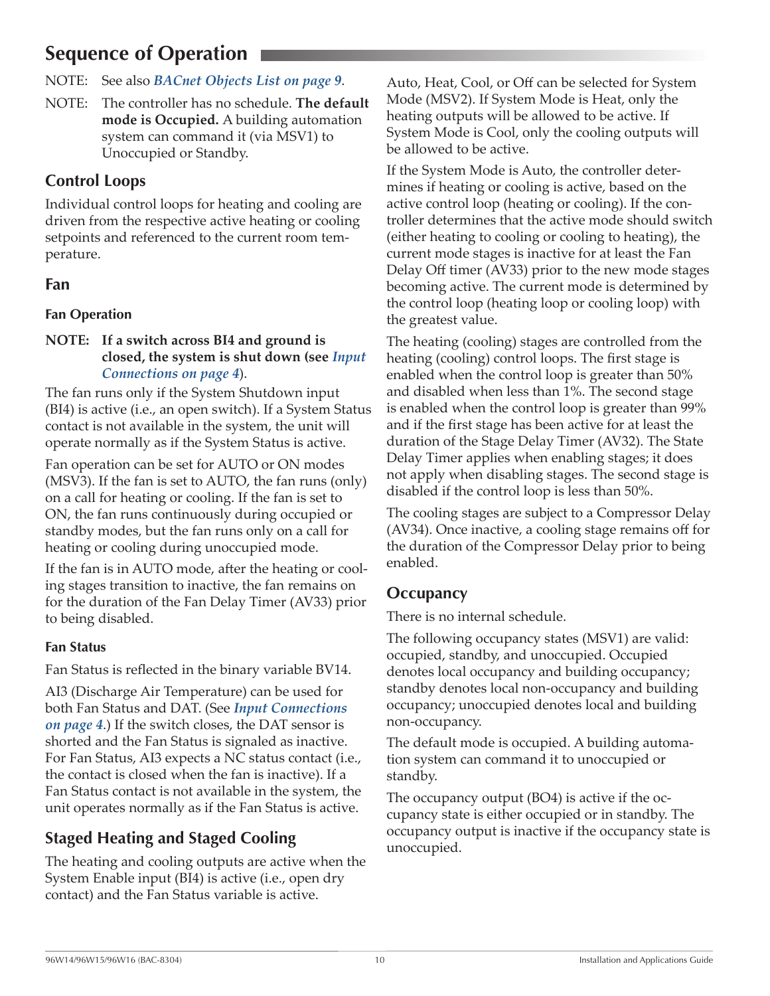# <span id="page-9-2"></span><span id="page-9-0"></span>**Sequence of Operation**

NOTE: See also *[BACnet Objects List on page 9](#page-8-1)*.

NOTE: The controller has no schedule. **The default mode is Occupied.** A building automation system can command it (via MSV1) to Unoccupied or Standby.

### **Control Loops**

Individual control loops for heating and cooling are driven from the respective active heating or cooling setpoints and referenced to the current room temperature.

#### <span id="page-9-1"></span>**Fan**

#### **Fan Operation**

#### **NOTE: If a switch across BI4 and ground is closed, the system is shut down (see** *[Input](#page-3-1)  [Connections on page 4](#page-3-1)*).

The fan runs only if the System Shutdown input (BI4) is active (i.e., an open switch). If a System Status contact is not available in the system, the unit will operate normally as if the System Status is active.

Fan operation can be set for AUTO or ON modes (MSV3). If the fan is set to AUTO, the fan runs (only) on a call for heating or cooling. If the fan is set to ON, the fan runs continuously during occupied or standby modes, but the fan runs only on a call for heating or cooling during unoccupied mode.

If the fan is in AUTO mode, after the heating or cooling stages transition to inactive, the fan remains on for the duration of the Fan Delay Timer (AV33) prior to being disabled.

#### **Fan Status**

Fan Status is reflected in the binary variable BV14.

AI3 (Discharge Air Temperature) can be used for both Fan Status and DAT. (See *[Input Connections](#page-3-1)  [on page 4](#page-3-1)*.) If the switch closes, the DAT sensor is shorted and the Fan Status is signaled as inactive. For Fan Status, AI3 expects a NC status contact (i.e., the contact is closed when the fan is inactive). If a Fan Status contact is not available in the system, the unit operates normally as if the Fan Status is active.

## **Staged Heating and Staged Cooling**

The heating and cooling outputs are active when the System Enable input (BI4) is active (i.e., open dry contact) and the Fan Status variable is active.

Auto, Heat, Cool, or Off can be selected for System Mode (MSV2). If System Mode is Heat, only the heating outputs will be allowed to be active. If System Mode is Cool, only the cooling outputs will be allowed to be active.

If the System Mode is Auto, the controller determines if heating or cooling is active, based on the active control loop (heating or cooling). If the controller determines that the active mode should switch (either heating to cooling or cooling to heating), the current mode stages is inactive for at least the Fan Delay Off timer (AV33) prior to the new mode stages becoming active. The current mode is determined by the control loop (heating loop or cooling loop) with the greatest value.

The heating (cooling) stages are controlled from the heating (cooling) control loops. The first stage is enabled when the control loop is greater than 50% and disabled when less than 1%. The second stage is enabled when the control loop is greater than 99% and if the first stage has been active for at least the duration of the Stage Delay Timer (AV32). The State Delay Timer applies when enabling stages; it does not apply when disabling stages. The second stage is disabled if the control loop is less than 50%.

The cooling stages are subject to a Compressor Delay (AV34). Once inactive, a cooling stage remains off for the duration of the Compressor Delay prior to being enabled.

### **Occupancy**

There is no internal schedule.

The following occupancy states (MSV1) are valid: occupied, standby, and unoccupied. Occupied denotes local occupancy and building occupancy; standby denotes local non-occupancy and building occupancy; unoccupied denotes local and building non-occupancy.

The default mode is occupied. A building automation system can command it to unoccupied or standby.

The occupancy output (BO4) is active if the occupancy state is either occupied or in standby. The occupancy output is inactive if the occupancy state is unoccupied.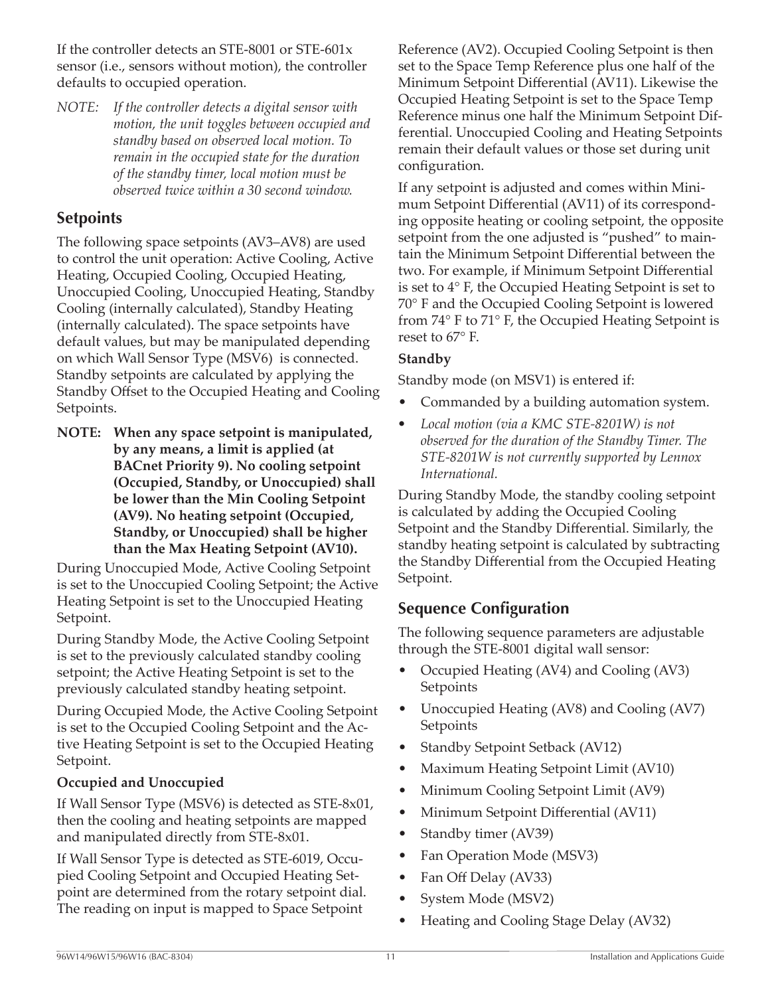<span id="page-10-0"></span>If the controller detects an STE-8001 or STE-601x sensor (i.e., sensors without motion), the controller defaults to occupied operation.

*NOTE: If the controller detects a digital sensor with motion, the unit toggles between occupied and standby based on observed local motion. To remain in the occupied state for the duration of the standby timer, local motion must be observed twice within a 30 second window.*

#### **Setpoints**

The following space setpoints (AV3–AV8) are used to control the unit operation: Active Cooling, Active Heating, Occupied Cooling, Occupied Heating, Unoccupied Cooling, Unoccupied Heating, Standby Cooling (internally calculated), Standby Heating (internally calculated). The space setpoints have default values, but may be manipulated depending on which Wall Sensor Type (MSV6) is connected. Standby setpoints are calculated by applying the Standby Offset to the Occupied Heating and Cooling Setpoints.

**NOTE: When any space setpoint is manipulated, by any means, a limit is applied (at BACnet Priority 9). No cooling setpoint (Occupied, Standby, or Unoccupied) shall be lower than the Min Cooling Setpoint (AV9). No heating setpoint (Occupied, Standby, or Unoccupied) shall be higher than the Max Heating Setpoint (AV10).**

During Unoccupied Mode, Active Cooling Setpoint is set to the Unoccupied Cooling Setpoint; the Active Heating Setpoint is set to the Unoccupied Heating Setpoint.

During Standby Mode, the Active Cooling Setpoint is set to the previously calculated standby cooling setpoint; the Active Heating Setpoint is set to the previously calculated standby heating setpoint.

During Occupied Mode, the Active Cooling Setpoint is set to the Occupied Cooling Setpoint and the Active Heating Setpoint is set to the Occupied Heating Setpoint.

#### **Occupied and Unoccupied**

If Wall Sensor Type (MSV6) is detected as STE-8x01, then the cooling and heating setpoints are mapped and manipulated directly from STE-8x01.

If Wall Sensor Type is detected as STE-6019, Occupied Cooling Setpoint and Occupied Heating Setpoint are determined from the rotary setpoint dial. The reading on input is mapped to Space Setpoint

Reference (AV2). Occupied Cooling Setpoint is then set to the Space Temp Reference plus one half of the Minimum Setpoint Differential (AV11). Likewise the Occupied Heating Setpoint is set to the Space Temp Reference minus one half the Minimum Setpoint Differential. Unoccupied Cooling and Heating Setpoints remain their default values or those set during unit configuration.

If any setpoint is adjusted and comes within Minimum Setpoint Differential (AV11) of its corresponding opposite heating or cooling setpoint, the opposite setpoint from the one adjusted is "pushed" to maintain the Minimum Setpoint Differential between the two. For example, if Minimum Setpoint Differential is set to 4° F, the Occupied Heating Setpoint is set to 70° F and the Occupied Cooling Setpoint is lowered from 74° F to 71° F, the Occupied Heating Setpoint is reset to 67° F.

#### **Standby**

Standby mode (on MSV1) is entered if:

- Commanded by a building automation system.
- *• Local motion (via a KMC STE-8201W) is not observed for the duration of the Standby Timer. The STE-8201W is not currently supported by Lennox International.*

During Standby Mode, the standby cooling setpoint is calculated by adding the Occupied Cooling Setpoint and the Standby Differential. Similarly, the standby heating setpoint is calculated by subtracting the Standby Differential from the Occupied Heating Setpoint.

### **Sequence Configuration**

The following sequence parameters are adjustable through the STE-8001 digital wall sensor:

- Occupied Heating (AV4) and Cooling (AV3) **Setpoints**
- Unoccupied Heating (AV8) and Cooling (AV7) Setpoints
- Standby Setpoint Setback (AV12)
- Maximum Heating Setpoint Limit (AV10)
- Minimum Cooling Setpoint Limit (AV9)
- Minimum Setpoint Differential (AV11)
- Standby timer (AV39)
- Fan Operation Mode (MSV3)
- Fan Off Delay (AV33)
- System Mode (MSV2)
- Heating and Cooling Stage Delay (AV32)